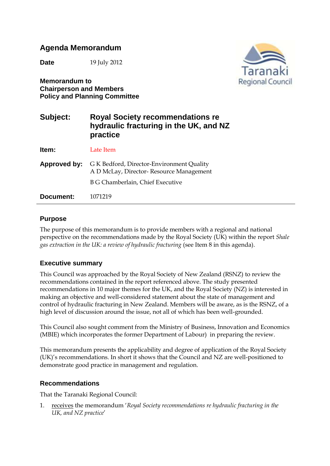# **Agenda Memorandum**

**Date** 19 July 2012

**Memorandum to Chairperson and Members Policy and Planning Committee**



# **Subject: Royal Society recommendations re hydraulic fracturing in the UK, and NZ practice Item:** Late Item **Approved by:** G K Bedford, Director-Environment Quality A D McLay, Director- Resource Management B G Chamberlain, Chief Executive

**Document:** 1071219

#### **Purpose**

The purpose of this memorandum is to provide members with a regional and national perspective on the recommendations made by the Royal Society (UK) within the report *Shale gas extraction in the UK: a review of hydraulic fracturing* (see Item 8 in this agenda).

#### **Executive summary**

This Council was approached by the Royal Society of New Zealand (RSNZ) to review the recommendations contained in the report referenced above. The study presented recommendations in 10 major themes for the UK, and the Royal Society (NZ) is interested in making an objective and well-considered statement about the state of management and control of hydraulic fracturing in New Zealand. Members will be aware, as is the RSNZ, of a high level of discussion around the issue, not all of which has been well-grounded.

This Council also sought comment from the Ministry of Business, Innovation and Economics (MBIE) which incorporates the former Department of Labour) in preparing the review.

This memorandum presents the applicability and degree of application of the Royal Society (UK)'s recommendations. In short it shows that the Council and NZ are well-positioned to demonstrate good practice in management and regulation.

#### **Recommendations**

That the Taranaki Regional Council:

1. receives the memorandum '*Royal Society recommendations re hydraulic fracturing in the UK, and NZ practice*'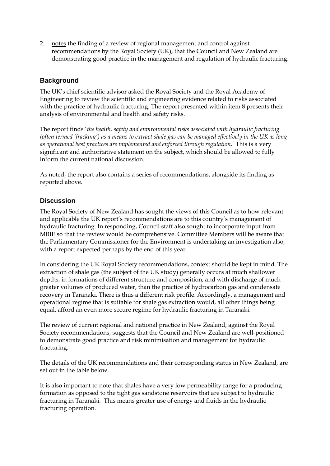2. notes the finding of a review of regional management and control against recommendations by the Royal Society (UK), that the Council and New Zealand are demonstrating good practice in the management and regulation of hydraulic fracturing.

## **Background**

The UK's chief scientific advisor asked the Royal Society and the Royal Academy of Engineering to review the scientific and engineering evidence related to risks associated with the practice of hydraulic fracturing. The report presented within item 8 presents their analysis of environmental and health and safety risks.

The report finds '*the health, safety and environmental risks associated with hydraulic fracturing (often termed 'fracking') as a means to extract shale gas can be managed effectively in the UK as long as operational best practices are implemented and enforced through regulation.*' This is a very significant and authoritative statement on the subject, which should be allowed to fully inform the current national discussion.

As noted, the report also contains a series of recommendations, alongside its finding as reported above.

### **Discussion**

The Royal Society of New Zealand has sought the views of this Council as to how relevant and applicable the UK report's recommendations are to this country's management of hydraulic fracturing. In responding, Council staff also sought to incorporate input from MBIE so that the review would be comprehensive. Committee Members will be aware that the Parliamentary Commissioner for the Environment is undertaking an investigation also, with a report expected perhaps by the end of this year.

In considering the UK Royal Society recommendations, context should be kept in mind. The extraction of shale gas (the subject of the UK study) generally occurs at much shallower depths, in formations of different structure and composition, and with discharge of much greater volumes of produced water, than the practice of hydrocarbon gas and condensate recovery in Taranaki. There is thus a different risk profile. Accordingly, a management and operational regime that is suitable for shale gas extraction would, all other things being equal, afford an even more secure regime for hydraulic fracturing in Taranaki.

The review of current regional and national practice in New Zealand, against the Royal Society recommendations, suggests that the Council and New Zealand are well-positioned to demonstrate good practice and risk minimisation and management for hydraulic fracturing.

The details of the UK recommendations and their corresponding status in New Zealand, are set out in the table below.

It is also important to note that shales have a very low permeability range for a producing formation as opposed to the tight gas sandstone reservoirs that are subject to hydraulic fracturing in Taranaki. This means greater use of energy and fluids in the hydraulic fracturing operation.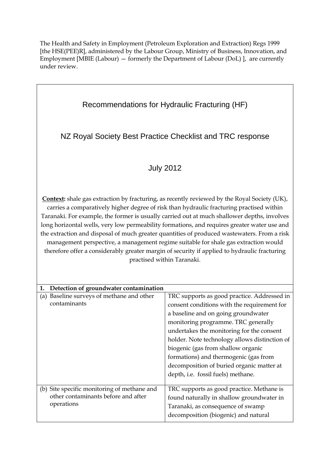The Health and Safety in Employment (Petroleum Exploration and Extraction) Regs 1999 [the HSE(PEE)R], administered by the Labour Group, Ministry of Business, Innovation, and Employment [MBIE (Labour) — formerly the Department of Labour (DoL) ], are currently under review.

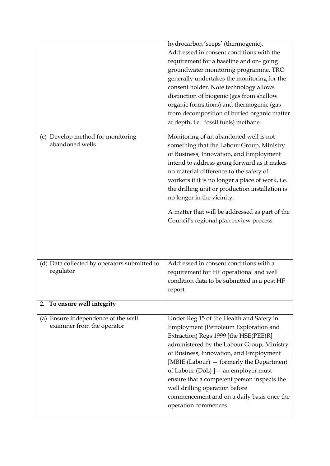|                                                      | hydrocarbon 'seeps' (thermogenic).                                                                  |
|------------------------------------------------------|-----------------------------------------------------------------------------------------------------|
|                                                      | Addressed in consent conditions with the                                                            |
|                                                      | requirement for a baseline and on-going                                                             |
|                                                      | groundwater monitoring programme. TRC                                                               |
|                                                      | generally undertakes the monitoring for the                                                         |
|                                                      | consent holder. Note technology allows                                                              |
|                                                      | distinction of biogenic (gas from shallow                                                           |
|                                                      | organic formations) and thermogenic (gas                                                            |
|                                                      | from decomposition of buried organic matter                                                         |
|                                                      | at depth, i.e. fossil fuels) methane.                                                               |
|                                                      |                                                                                                     |
| (c) Develop method for monitoring<br>abandoned wells | Monitoring of an abandoned well is not                                                              |
|                                                      | something that the Labour Group, Ministry                                                           |
|                                                      | of Business, Innovation, and Employment                                                             |
|                                                      | intend to address going forward as it makes                                                         |
|                                                      | no material difference to the safety of                                                             |
|                                                      | workers if it is no longer a place of work, i.e.<br>the drilling unit or production installation is |
|                                                      | no longer in the vicinity.                                                                          |
|                                                      |                                                                                                     |
|                                                      | A matter that will be addressed as part of the                                                      |
|                                                      | Council's regional plan review process.                                                             |
|                                                      |                                                                                                     |
|                                                      |                                                                                                     |
|                                                      |                                                                                                     |
|                                                      |                                                                                                     |
| (d) Data collected by operators submitted to         | Addressed in consent conditions with a                                                              |
| regulator                                            | requirement for HF operational and well                                                             |
|                                                      | condition data to be submitted in a post HF                                                         |
|                                                      | report                                                                                              |
| To ensure well integrity<br>2.                       |                                                                                                     |
| (a) Ensure independence of the well                  | Under Reg 15 of the Health and Safety in                                                            |
| examiner from the operator                           | Employment (Petroleum Exploration and                                                               |
|                                                      | Extraction) Regs 1999 [the HSE(PEE)R]                                                               |
|                                                      | administered by the Labour Group, Ministry                                                          |
|                                                      | of Business, Innovation, and Employment                                                             |
|                                                      | [MBIE (Labour) – formerly the Department                                                            |
|                                                      | of Labour (DoL) $]-$ an employer must                                                               |
|                                                      | ensure that a competent person inspects the                                                         |
|                                                      | well drilling operation before                                                                      |
|                                                      | commencement and on a daily basis once the                                                          |
|                                                      | operation commences.                                                                                |
|                                                      |                                                                                                     |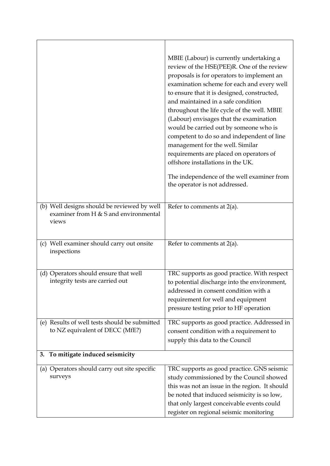| (b) Well designs should be reviewed by well                                      | MBIE (Labour) is currently undertaking a<br>review of the HSE(PEE)R. One of the review<br>proposals is for operators to implement an<br>examination scheme for each and every well<br>to ensure that it is designed, constructed,<br>and maintained in a safe condition<br>throughout the life cycle of the well. MBIE<br>(Labour) envisages that the examination<br>would be carried out by someone who is<br>competent to do so and independent of line<br>management for the well. Similar<br>requirements are placed on operators of<br>offshore installations in the UK.<br>The independence of the well examiner from<br>the operator is not addressed.<br>Refer to comments at $2(a)$ . |
|----------------------------------------------------------------------------------|------------------------------------------------------------------------------------------------------------------------------------------------------------------------------------------------------------------------------------------------------------------------------------------------------------------------------------------------------------------------------------------------------------------------------------------------------------------------------------------------------------------------------------------------------------------------------------------------------------------------------------------------------------------------------------------------|
| examiner from H $&$ S and environmental<br>views                                 |                                                                                                                                                                                                                                                                                                                                                                                                                                                                                                                                                                                                                                                                                                |
| (c) Well examiner should carry out onsite<br>inspections                         | Refer to comments at $2(a)$ .                                                                                                                                                                                                                                                                                                                                                                                                                                                                                                                                                                                                                                                                  |
| (d) Operators should ensure that well<br>integrity tests are carried out         | TRC supports as good practice. With respect<br>to potential discharge into the environment,<br>addressed in consent condition with a<br>requirement for well and equipment<br>pressure testing prior to HF operation                                                                                                                                                                                                                                                                                                                                                                                                                                                                           |
| (e) Results of well tests should be submitted<br>to NZ equivalent of DECC (MfE?) | TRC supports as good practice. Addressed in<br>consent condition with a requirement to<br>supply this data to the Council                                                                                                                                                                                                                                                                                                                                                                                                                                                                                                                                                                      |
| To mitigate induced seismicity<br>3.                                             |                                                                                                                                                                                                                                                                                                                                                                                                                                                                                                                                                                                                                                                                                                |
| (a) Operators should carry out site specific<br>surveys                          | TRC supports as good practice. GNS seismic<br>study commissioned by the Council showed<br>this was not an issue in the region. It should<br>be noted that induced seismicity is so low,<br>that only largest conceivable events could<br>register on regional seismic monitoring                                                                                                                                                                                                                                                                                                                                                                                                               |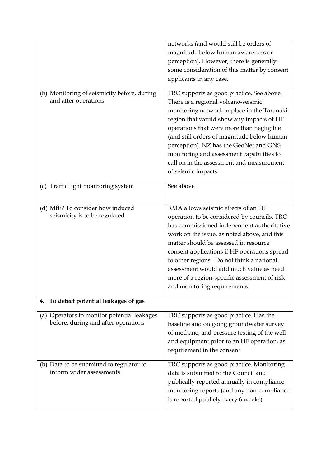|                                                                   | networks (and would still be orders of       |
|-------------------------------------------------------------------|----------------------------------------------|
|                                                                   | magnitude below human awareness or           |
|                                                                   | perception). However, there is generally     |
|                                                                   | some consideration of this matter by consent |
|                                                                   | applicants in any case.                      |
|                                                                   |                                              |
| (b) Monitoring of seismicity before, during                       | TRC supports as good practice. See above.    |
| and after operations                                              | There is a regional volcano-seismic          |
|                                                                   | monitoring network in place in the Taranaki  |
|                                                                   | region that would show any impacts of HF     |
|                                                                   | operations that were more than negligible    |
|                                                                   | (and still orders of magnitude below human   |
|                                                                   | perception). NZ has the GeoNet and GNS       |
|                                                                   | monitoring and assessment capabilities to    |
|                                                                   | call on in the assessment and measurement    |
|                                                                   | of seismic impacts.                          |
|                                                                   |                                              |
| Traffic light monitoring system<br>(c)                            | See above                                    |
|                                                                   |                                              |
|                                                                   | RMA allows seismic effects of an HF          |
| (d) MfE? To consider how induced<br>seismicity is to be regulated |                                              |
|                                                                   | operation to be considered by councils. TRC  |
|                                                                   | has commissioned independent authoritative   |
|                                                                   | work on the issue, as noted above, and this  |
|                                                                   | matter should be assessed in resource        |
|                                                                   | consent applications if HF operations spread |
|                                                                   | to other regions. Do not think a national    |
|                                                                   | assessment would add much value as need      |
|                                                                   | more of a region-specific assessment of risk |
|                                                                   | and monitoring requirements.                 |
| To detect potential leakages of gas<br>4.                         |                                              |
|                                                                   |                                              |
| (a) Operators to monitor potential leakages                       | TRC supports as good practice. Has the       |
| before, during and after operations                               | baseline and on going groundwater survey     |
|                                                                   | of methane, and pressure testing of the well |
|                                                                   | and equipment prior to an HF operation, as   |
|                                                                   | requirement in the consent                   |
|                                                                   |                                              |
| (b) Data to be submitted to regulator to                          | TRC supports as good practice. Monitoring    |
| inform wider assessments                                          | data is submitted to the Council and         |
|                                                                   | publically reported annually in compliance   |
|                                                                   | monitoring reports (and any non-compliance   |
|                                                                   | is reported publicly every 6 weeks)          |
|                                                                   |                                              |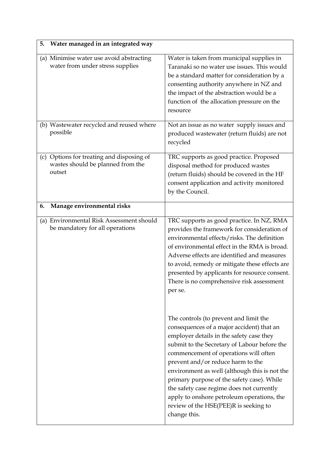| 5.<br>Water managed in an integrated way                                                 |                                                                                                                                                                                                                                                                                                                                                                                                                                                                                                                  |
|------------------------------------------------------------------------------------------|------------------------------------------------------------------------------------------------------------------------------------------------------------------------------------------------------------------------------------------------------------------------------------------------------------------------------------------------------------------------------------------------------------------------------------------------------------------------------------------------------------------|
| (a) Minimise water use avoid abstracting<br>water from under stress supplies             | Water is taken from municipal supplies in<br>Taranaki so no water use issues. This would<br>be a standard matter for consideration by a<br>consenting authority anywhere in NZ and<br>the impact of the abstraction would be a<br>function of the allocation pressure on the<br>resource                                                                                                                                                                                                                         |
| (b) Wastewater recycled and reused where<br>possible                                     | Not an issue as no water supply issues and<br>produced wastewater (return fluids) are not<br>recycled                                                                                                                                                                                                                                                                                                                                                                                                            |
| (c) Options for treating and disposing of<br>wastes should be planned from the<br>outset | TRC supports as good practice. Proposed<br>disposal method for produced wastes<br>(return fluids) should be covered in the HF<br>consent application and activity monitored<br>by the Council.                                                                                                                                                                                                                                                                                                                   |
| Manage environmental risks<br>6.                                                         |                                                                                                                                                                                                                                                                                                                                                                                                                                                                                                                  |
| (a) Environmental Risk Assessment should<br>be mandatory for all operations              | TRC supports as good practice. In NZ, RMA<br>provides the framework for consideration of<br>environmental effects/risks. The definition<br>of environmental effect in the RMA is broad.<br>Adverse effects are identified and measures<br>to avoid, remedy or mitigate these effects are<br>presented by applicants for resource consent.<br>There is no comprehensive risk assessment<br>per se.                                                                                                                |
|                                                                                          | The controls (to prevent and limit the<br>consequences of a major accident) that an<br>employer details in the safety case they<br>submit to the Secretary of Labour before the<br>commencement of operations will often<br>prevent and/or reduce harm to the<br>environment as well (although this is not the<br>primary purpose of the safety case). While<br>the safety case regime does not currently<br>apply to onshore petroleum operations, the<br>review of the HSE(PEE)R is seeking to<br>change this. |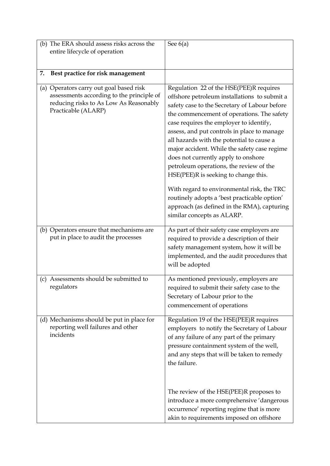| (b) The ERA should assess risks across the<br>entire lifecycle of operation                                                                           | See $6(a)$                                                                                                                                                                                                                                                                                                                                                                                                                                                                                                                                                                                            |
|-------------------------------------------------------------------------------------------------------------------------------------------------------|-------------------------------------------------------------------------------------------------------------------------------------------------------------------------------------------------------------------------------------------------------------------------------------------------------------------------------------------------------------------------------------------------------------------------------------------------------------------------------------------------------------------------------------------------------------------------------------------------------|
| Best practice for risk management<br>7.                                                                                                               |                                                                                                                                                                                                                                                                                                                                                                                                                                                                                                                                                                                                       |
| (a) Operators carry out goal based risk<br>assessments according to the principle of<br>reducing risks to As Low As Reasonably<br>Practicable (ALARP) | Regulation 22 of the HSE(PEE)R requires<br>offshore petroleum installations to submit a<br>safety case to the Secretary of Labour before<br>the commencement of operations. The safety<br>case requires the employer to identify,<br>assess, and put controls in place to manage<br>all hazards with the potential to cause a<br>major accident. While the safety case regime<br>does not currently apply to onshore<br>petroleum operations, the review of the<br>HSE(PEE)R is seeking to change this.<br>With regard to environmental risk, the TRC<br>routinely adopts a 'best practicable option' |
|                                                                                                                                                       | approach (as defined in the RMA), capturing<br>similar concepts as ALARP.                                                                                                                                                                                                                                                                                                                                                                                                                                                                                                                             |
| (b) Operators ensure that mechanisms are<br>put in place to audit the processes                                                                       | As part of their safety case employers are<br>required to provide a description of their<br>safety management system, how it will be<br>implemented, and the audit procedures that<br>will be adopted                                                                                                                                                                                                                                                                                                                                                                                                 |
| Assessments should be submitted to<br>(c)<br>regulators                                                                                               | As mentioned previously, employers are<br>required to submit their safety case to the<br>Secretary of Labour prior to the<br>commencement of operations                                                                                                                                                                                                                                                                                                                                                                                                                                               |
| (d) Mechanisms should be put in place for<br>reporting well failures and other<br>incidents                                                           | Regulation 19 of the HSE(PEE)R requires<br>employers to notify the Secretary of Labour<br>of any failure of any part of the primary<br>pressure containment system of the well,<br>and any steps that will be taken to remedy<br>the failure.                                                                                                                                                                                                                                                                                                                                                         |
|                                                                                                                                                       | The review of the HSE(PEE)R proposes to<br>introduce a more comprehensive 'dangerous<br>occurrence' reporting regime that is more<br>akin to requirements imposed on offshore                                                                                                                                                                                                                                                                                                                                                                                                                         |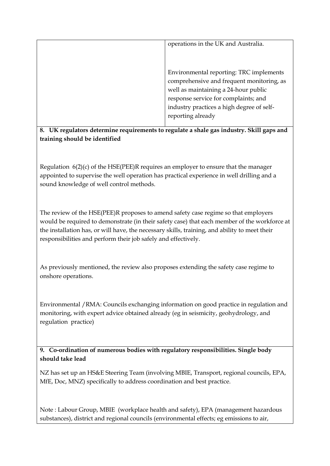| operations in the UK and Australia.       |
|-------------------------------------------|
|                                           |
|                                           |
| Environmental reporting: TRC implements   |
| comprehensive and frequent monitoring, as |
| well as maintaining a 24-hour public      |
| response service for complaints; and      |
| industry practices a high degree of self- |
| reporting already                         |
|                                           |

### **8. UK regulators determine requirements to regulate a shale gas industry. Skill gaps and training should be identified**

Regulation 6(2)(c) of the HSE(PEE)R requires an employer to ensure that the manager appointed to supervise the well operation has practical experience in well drilling and a sound knowledge of well control methods.

The review of the HSE(PEE)R proposes to amend safety case regime so that employers would be required to demonstrate (in their safety case) that each member of the workforce at the installation has, or will have, the necessary skills, training, and ability to meet their responsibilities and perform their job safely and effectively.

As previously mentioned, the review also proposes extending the safety case regime to onshore operations.

Environmental /RMA: Councils exchanging information on good practice in regulation and monitoring, with expert advice obtained already (eg in seismicity, geohydrology, and regulation practice)

**9. Co-ordination of numerous bodies with regulatory responsibilities. Single body should take lead** 

NZ has set up an HS&E Steering Team (involving MBIE, Transport, regional councils, EPA, MfE, Doc, MNZ) specifically to address coordination and best practice.

Note : Labour Group, MBIE (workplace health and safety), EPA (management hazardous substances), district and regional councils (environmental effects; eg emissions to air,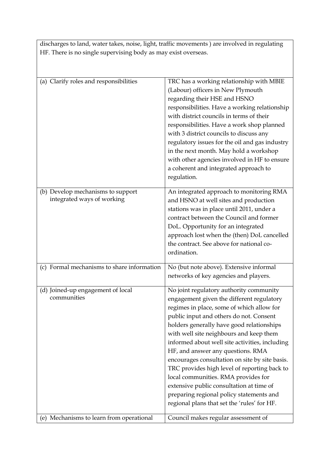discharges to land, water takes, noise, light, traffic movements ) are involved in regulating HF. There is no single supervising body as may exist overseas.

| (a) Clarify roles and responsibilities                          | TRC has a working relationship with MBIE<br>(Labour) officers in New Plymouth<br>regarding their HSE and HSNO<br>responsibilities. Have a working relationship<br>with district councils in terms of their<br>responsibilities. Have a work shop planned<br>with 3 district councils to discuss any<br>regulatory issues for the oil and gas industry<br>in the next month. May hold a workshop<br>with other agencies involved in HF to ensure<br>a coherent and integrated approach to<br>regulation.                                                                                                                                     |
|-----------------------------------------------------------------|---------------------------------------------------------------------------------------------------------------------------------------------------------------------------------------------------------------------------------------------------------------------------------------------------------------------------------------------------------------------------------------------------------------------------------------------------------------------------------------------------------------------------------------------------------------------------------------------------------------------------------------------|
| (b) Develop mechanisms to support<br>integrated ways of working | An integrated approach to monitoring RMA<br>and HSNO at well sites and production<br>stations was in place until 2011, under a<br>contract between the Council and former<br>DoL. Opportunity for an integrated<br>approach lost when the (then) DoL cancelled<br>the contract. See above for national co-<br>ordination.                                                                                                                                                                                                                                                                                                                   |
| (c) Formal mechanisms to share information                      | No (but note above). Extensive informal<br>networks of key agencies and players.                                                                                                                                                                                                                                                                                                                                                                                                                                                                                                                                                            |
| (d) Joined-up engagement of local<br>communities                | No joint regulatory authority community<br>engagement given the different regulatory<br>regimes in place, some of which allow for<br>public input and others do not. Consent<br>holders generally have good relationships<br>with well site neighbours and keep them<br>informed about well site activities, including<br>HF, and answer any questions. RMA<br>encourages consultation on site by site basis.<br>TRC provides high level of reporting back to<br>local communities. RMA provides for<br>extensive public consultation at time of<br>preparing regional policy statements and<br>regional plans that set the 'rules' for HF. |
| (e) Mechanisms to learn from operational                        | Council makes regular assessment of                                                                                                                                                                                                                                                                                                                                                                                                                                                                                                                                                                                                         |